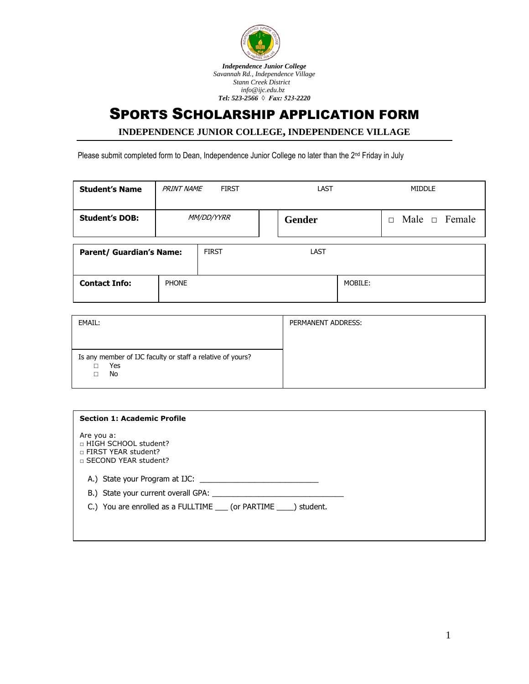

## SPORTS SCHOLARSHIP APPLICATION FORM

**INDEPENDENCE JUNIOR COLLEGE, INDEPENDENCE VILLAGE** 

Please submit completed form to Dean, Independence Junior College no later than the 2<sup>nd</sup> Friday in July

| <b>Student's Name</b>           | <b>PRINT NAME</b> | <b>FIRST</b> | LAST   |         |        | <b>MIDDLE</b> |                    |
|---------------------------------|-------------------|--------------|--------|---------|--------|---------------|--------------------|
| <b>Student's DOB:</b>           | <i>MM/DD/YYRR</i> |              | Gender |         | $\Box$ |               | Male $\Box$ Female |
| <b>Parent/ Guardian's Name:</b> |                   | <b>FIRST</b> | LAST   |         |        |               |                    |
| <b>Contact Info:</b>            | <b>PHONE</b>      |              |        | MOBILE: |        |               |                    |

| EMAIL:                                                                  | PERMANENT ADDRESS: |
|-------------------------------------------------------------------------|--------------------|
|                                                                         |                    |
| Is any member of IJC faculty or staff a relative of yours?<br>Yes<br>No |                    |

Are you a:

□ HIGH SCHOOL student?

□ FIRST YEAR student?

□ SECOND YEAR student?

A.) State your Program at IJC: \_\_\_\_\_\_\_\_\_\_\_\_\_\_\_\_\_\_\_\_\_\_\_\_\_\_\_\_

B.) State your current overall GPA: \_\_\_\_\_\_\_\_\_\_\_\_\_\_\_\_\_\_\_\_\_\_\_\_\_\_\_\_\_\_\_

C.) You are enrolled as a FULLTIME \_\_\_ (or PARTIME \_\_\_\_) student.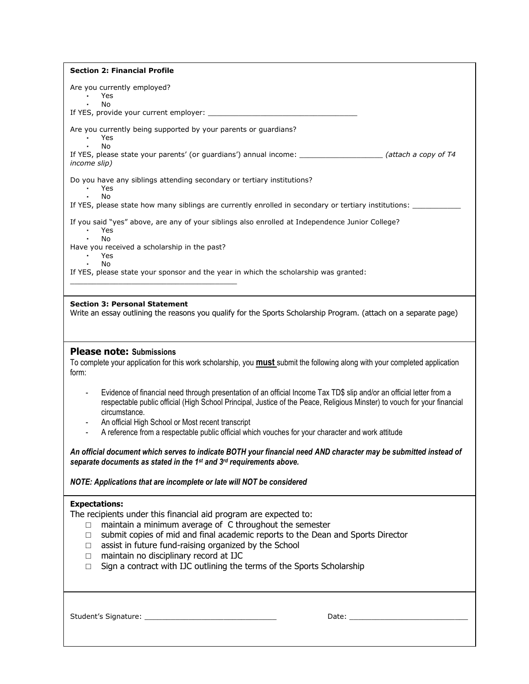| <b>Section 2: Financial Profile</b>                                                                                                                                                                                                              |
|--------------------------------------------------------------------------------------------------------------------------------------------------------------------------------------------------------------------------------------------------|
| Are you currently employed?<br>Yes                                                                                                                                                                                                               |
| No                                                                                                                                                                                                                                               |
|                                                                                                                                                                                                                                                  |
| Are you currently being supported by your parents or guardians?<br>Yes                                                                                                                                                                           |
| No<br>If YES, please state your parents' (or guardians') annual income: _______________________ (attach a copy of T4                                                                                                                             |
| income slip)                                                                                                                                                                                                                                     |
| Do you have any siblings attending secondary or tertiary institutions?                                                                                                                                                                           |
| Yes<br>No                                                                                                                                                                                                                                        |
| If YES, please state how many siblings are currently enrolled in secondary or tertiary institutions: _______                                                                                                                                     |
| If you said "yes" above, are any of your siblings also enrolled at Independence Junior College?<br>Yes                                                                                                                                           |
| <b>No</b><br>Have you received a scholarship in the past?<br>Yes                                                                                                                                                                                 |
| No                                                                                                                                                                                                                                               |
| If YES, please state your sponsor and the year in which the scholarship was granted:                                                                                                                                                             |
|                                                                                                                                                                                                                                                  |
| <b>Section 3: Personal Statement</b><br>Write an essay outlining the reasons you qualify for the Sports Scholarship Program. (attach on a separate page)                                                                                         |
|                                                                                                                                                                                                                                                  |
|                                                                                                                                                                                                                                                  |
| <b>Please note: Submissions</b>                                                                                                                                                                                                                  |
| To complete your application for this work scholarship, you <b>must</b> submit the following along with your completed application<br>form:                                                                                                      |
|                                                                                                                                                                                                                                                  |
| Evidence of financial need through presentation of an official Income Tax TD\$ slip and/or an official letter from a<br>respectable public official (High School Principal, Justice of the Peace, Religious Minster) to vouch for your financial |
| circumstance.                                                                                                                                                                                                                                    |
| An official High School or Most recent transcript<br>A reference from a respectable public official which vouches for your character and work attitude                                                                                           |
|                                                                                                                                                                                                                                                  |
| An official document which serves to indicate BOTH your financial need AND character may be submitted instead of                                                                                                                                 |
| separate documents as stated in the 1st and 3rd requirements above.                                                                                                                                                                              |
| NOTE: Applications that are incomplete or late will NOT be considered                                                                                                                                                                            |
| <b>Expectations:</b>                                                                                                                                                                                                                             |
| The recipients under this financial aid program are expected to:                                                                                                                                                                                 |
| maintain a minimum average of C throughout the semester<br>$\Box$                                                                                                                                                                                |
| submit copies of mid and final academic reports to the Dean and Sports Director<br>$\Box$<br>assist in future fund-raising organized by the School<br>$\Box$                                                                                     |
| maintain no disciplinary record at IJC<br>$\Box$                                                                                                                                                                                                 |
| Sign a contract with IJC outlining the terms of the Sports Scholarship<br>$\Box$                                                                                                                                                                 |
|                                                                                                                                                                                                                                                  |
|                                                                                                                                                                                                                                                  |
|                                                                                                                                                                                                                                                  |
|                                                                                                                                                                                                                                                  |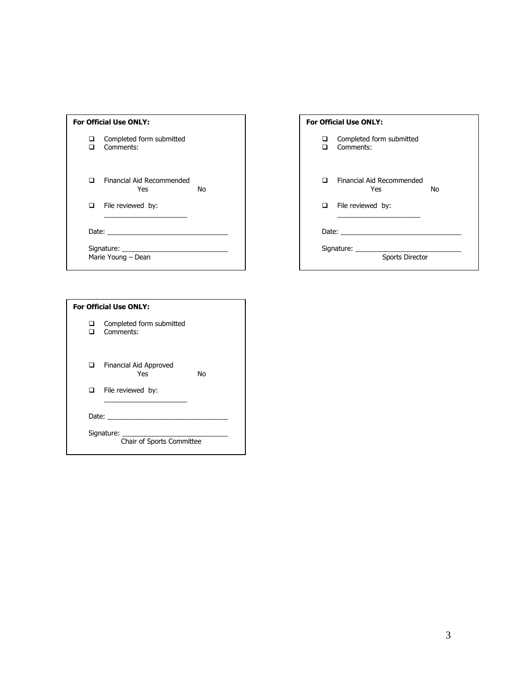| <b>For Official Use ONLY:</b>    |                    |                                              |    |  |  |
|----------------------------------|--------------------|----------------------------------------------|----|--|--|
|                                  | ⊔                  | Completed form submitted<br>$\Box$ Comments: |    |  |  |
|                                  | П.                 | Financial Aid Recommended<br>Yes             | N٥ |  |  |
|                                  |                    | $\Box$ File reviewed by:                     |    |  |  |
| Date: __________________________ |                    |                                              |    |  |  |
|                                  | Marie Young - Dean |                                              |    |  |  |

| <b>For Official Use ONLY:</b>                                                                                                                                                                                                  |                                        |  |  |  |  |
|--------------------------------------------------------------------------------------------------------------------------------------------------------------------------------------------------------------------------------|----------------------------------------|--|--|--|--|
| □<br>n.                                                                                                                                                                                                                        | Completed form submitted<br>Comments:  |  |  |  |  |
| n                                                                                                                                                                                                                              | Financial Aid Recommended<br>Nο<br>Yes |  |  |  |  |
|                                                                                                                                                                                                                                | $\Box$ File reviewed by:               |  |  |  |  |
| Date: the contract of the contract of the contract of the contract of the contract of the contract of the contract of the contract of the contract of the contract of the contract of the contract of the contract of the cont |                                        |  |  |  |  |
|                                                                                                                                                                                                                                | Sports Director                        |  |  |  |  |

| <b>For Official Use ONLY:</b> |                                         |    |  |  |
|-------------------------------|-----------------------------------------|----|--|--|
| П.                            | Completed form submitted<br>Comments:   |    |  |  |
|                               | Financial Aid Approved<br>Yes           | Nο |  |  |
| $\Box$                        | File reviewed by:                       |    |  |  |
|                               |                                         |    |  |  |
|                               | Signature:<br>Chair of Sports Committee |    |  |  |